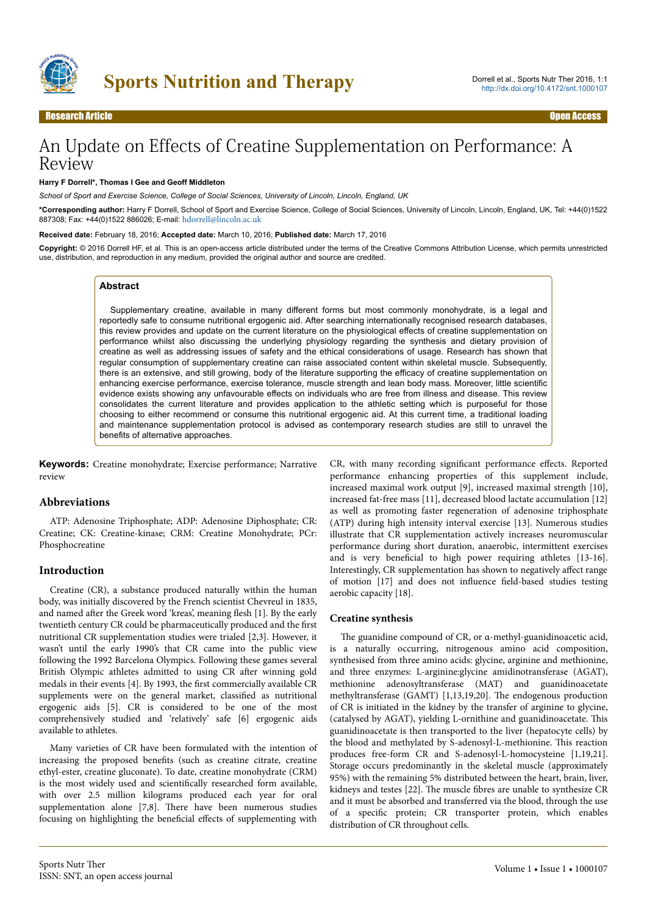

# An Update on Effects of Creatine Supplementation on Performance: A Review

#### **Harry F Dorrell\*, Thomas I Gee and Geoff Middleton**

*School of Sport and Exercise Science, College of Social Sciences, University of Lincoln, Lincoln, England, UK*

**\*Corresponding author:** Harry F Dorrell, School of Sport and Exercise Science, College of Social Sciences, University of Lincoln, Lincoln, England, UK, Tel: +44(0)1522 887308; Fax: +44(0)1522 886026; E-mail: [hdorrell@lincoln.ac.uk](mailto:hdorrell@lincoln.ac.uk)

#### **Received date:** February 18, 2016; **Accepted date:** March 10, 2016; **Published date:** March 17, 2016

**Copyright:** © 2016 Dorrell HF, et al. This is an open-access article distributed under the terms of the Creative Commons Attribution License, which permits unrestricted use, distribution, and reproduction in any medium, provided the original author and source are credited.

#### **Abstract**

Supplementary creatine, available in many different forms but most commonly monohydrate, is a legal and reportedly safe to consume nutritional ergogenic aid. After searching internationally recognised research databases, this review provides and update on the current literature on the physiological effects of creatine supplementation on performance whilst also discussing the underlying physiology regarding the synthesis and dietary provision of creatine as well as addressing issues of safety and the ethical considerations of usage. Research has shown that regular consumption of supplementary creatine can raise associated content within skeletal muscle. Subsequently, there is an extensive, and still growing, body of the literature supporting the efficacy of creatine supplementation on enhancing exercise performance, exercise tolerance, muscle strength and lean body mass. Moreover, little scientific evidence exists showing any unfavourable effects on individuals who are free from illness and disease. This review consolidates the current literature and provides application to the athletic setting which is purposeful for those choosing to either recommend or consume this nutritional ergogenic aid. At this current time, a traditional loading and maintenance supplementation protocol is advised as contemporary research studies are still to unravel the benefits of alternative approaches.

**Keywords:** Creatine monohydrate; Exercise performance; Narrative review

## **Abbreviations**

ATP: Adenosine Triphosphate; ADP: Adenosine Diphosphate; CR: Creatine; CK: Creatine-kinase; CRM: Creatine Monohydrate; PCr: Phosphocreatine

## **Introduction**

Creatine (CR), a substance produced naturally within the human body, was initially discovered by the French scientist Chevreul in 1835, and named after the Greek word 'kreas', meaning flesh [1]. By the early twentieth century CR could be pharmaceutically produced and the first nutritional CR supplementation studies were trialed [2,3]. However, it wasn't until the early 1990's that CR came into the public view following the 1992 Barcelona Olympics. Following these games several British Olympic athletes admitted to using CR after winning gold medals in their events [4]. By 1993, the first commercially available CR supplements were on the general market, classified as nutritional ergogenic aids [5]. CR is considered to be one of the most comprehensively studied and 'relatively' safe [6] ergogenic aids available to athletes.

Many varieties of CR have been formulated with the intention of increasing the proposed benefits (such as creatine citrate, creatine ethyl-ester, creatine gluconate). To date, creatine monohydrate (CRM) is the most widely used and scientifically researched form available, with over 2.5 million kilograms produced each year for oral supplementation alone [7,8]. Нere have been numerous studies focusing on highlighting the beneficial effects of supplementing with

CR, with many recording significant performance effects. Reported performance enhancing properties of this supplement include, increased maximal work output [9], increased maximal strength [10], increased fat-free mass [11], decreased blood lactate accumulation [12] as well as promoting faster regeneration of adenosine triphosphate (ATP) during high intensity interval exercise [13]. Numerous studies illustrate that CR supplementation actively increases neuromuscular performance during short duration, anaerobic, intermittent exercises and is very beneficial to high power requiring athletes [13-16]. Interestingly, CR supplementation has shown to negatively affect range of motion [17] and does not influence field-based studies testing aerobic capacity [18].

#### **Creatine synthesis**

Нe guanidine compound of CR, or α-methyl-guanidinoacetic acid, is a naturally occurring, nitrogenous amino acid composition, synthesised from three amino acids: glycine, arginine and methionine, and three enzymes: L-arginine:glycine amidinotransferase (AGAT), methionine adenosyltransferase (MAT) and guanidinoacetate methyltransferase (GAMT) [1,13,19,20]. Нe endogenous production of CR is initiated in the kidney by the transfer of arginine to glycine, (catalysed by AGAT), yielding L-ornithine and guanidinoacetate. Нis guanidinoacetate is then transported to the liver (hepatocyte cells) by the blood and methylated by S-adenosyl-L-methionine. Нis reaction produces free-form CR and S-adenosyl-L-homocysteine [1,19,21]. Storage occurs predominantly in the skeletal muscle (approximately 95%) with the remaining 5% distributed between the heart, brain, liver, kidneys and testes [22]. Нe muscle fibres are unable to synthesize CR and it must be absorbed and transferred via the blood, through the use of a specific protein; CR transporter protein, which enables distribution of CR throughout cells.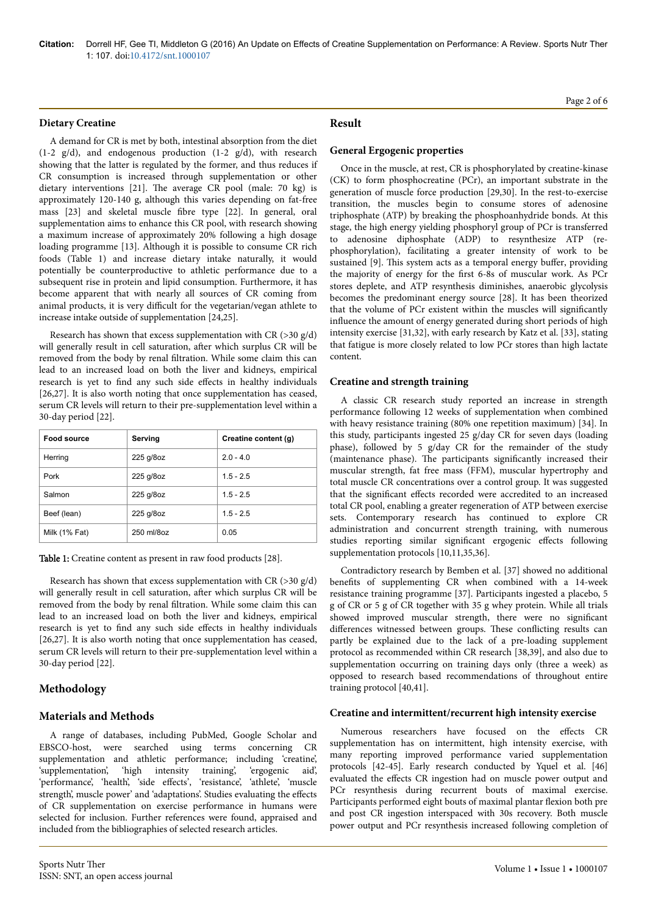**Citation:** Dorrell HF, Gee TI, Middleton G (2016) An Update on Effects of Creatine Supplementation on Performance: A Review. Sports Nutr Ther 1: 107. doi:[10.4172/snt.1000107](http://dx.doi.org/10.4172/snt.1000107)

#### **Dietary Creatine**

A demand for CR is met by both, intestinal absorption from the diet (1-2 g/d), and endogenous production (1-2 g/d), with research showing that the latter is regulated by the former, and thus reduces if CR consumption is increased through supplementation or other dietary interventions [21]. Нe average CR pool (male: 70 kg) is approximately 120-140 g, although this varies depending on fat-free mass [23] and skeletal muscle fibre type [22]. In general, oral supplementation aims to enhance this CR pool, with research showing a maximum increase of approximately 20% following a high dosage loading programme [13]. Although it is possible to consume CR rich foods (Table 1) and increase dietary intake naturally, it would potentially be counterproductive to athletic performance due to a subsequent rise in protein and lipid consumption. Furthermore, it has become apparent that with nearly all sources of CR coming from animal products, it is very difficult for the vegetarian/vegan athlete to increase intake outside of supplementation [24,25].

Research has shown that excess supplementation with CR ( $>$ 30 g/d) will generally result in cell saturation, after which surplus CR will be removed from the body by renal filtration. While some claim this can lead to an increased load on both the liver and kidneys, empirical research is yet to find any such side effects in healthy individuals [26,27]. It is also worth noting that once supplementation has ceased, serum CR levels will return to their pre-supplementation level within a 30-day period [22].

| <b>Food source</b> | Serving    | Creatine content (g) |
|--------------------|------------|----------------------|
| Herring            | 225 g/8oz  | $2.0 - 4.0$          |
| Pork               | 225 g/8oz  | $1.5 - 2.5$          |
| Salmon             | 225 g/8oz  | $1.5 - 2.5$          |
| Beef (lean)        | 225 g/8oz  | $1.5 - 2.5$          |
| Milk (1% Fat)      | 250 ml/8oz | 0.05                 |

Table 1: Creatine content as present in raw food products [28].

Research has shown that excess supplementation with CR (>30 g/d) will generally result in cell saturation, after which surplus CR will be removed from the body by renal filtration. While some claim this can lead to an increased load on both the liver and kidneys, empirical research is yet to find any such side effects in healthy individuals [26,27]. It is also worth noting that once supplementation has ceased, serum CR levels will return to their pre-supplementation level within a 30-day period [22].

#### **Methodology**

#### **Materials and Methods**

A range of databases, including PubMed, Google Scholar and EBSCO-host, were searched using terms concerning CR supplementation and athletic performance; including 'creatine', 'supplementation', 'high intensity training', 'ergogenic aid', 'performance', 'health', 'side effects', 'resistance', 'athlete', 'muscle strength', muscle power' and 'adaptations'. Studies evaluating the effects of CR supplementation on exercise performance in humans were selected for inclusion. Further references were found, appraised and included from the bibliographies of selected research articles.

## Page 2 of 6

# **Result**

#### **General Ergogenic properties**

Once in the muscle, at rest, CR is phosphorylated by creatine-kinase (CK) to form phosphocreatine (PCr), an important substrate in the generation of muscle force production [29,30]. In the rest-to-exercise transition, the muscles begin to consume stores of adenosine triphosphate (ATP) by breaking the phosphoanhydride bonds. At this stage, the high energy yielding phosphoryl group of PCr is transferred to adenosine diphosphate (ADP) to resynthesize ATP (rephosphorylation), facilitating a greater intensity of work to be sustained [9]. This system acts as a temporal energy buffer, providing the majority of energy for the first 6-8s of muscular work. As PCr stores deplete, and ATP resynthesis diminishes, anaerobic glycolysis becomes the predominant energy source [28]. It has been theorized that the volume of PCr existent within the muscles will significantly influence the amount of energy generated during short periods of high intensity exercise [31,32], with early research by Katz et al. [33], stating that fatigue is more closely related to low PCr stores than high lactate content.

#### **Creatine and strength training**

A classic CR research study reported an increase in strength performance following 12 weeks of supplementation when combined with heavy resistance training (80% one repetition maximum) [34]. In this study, participants ingested 25 g/day CR for seven days (loading phase), followed by 5 g/day CR for the remainder of the study (maintenance phase). Нe participants significantly increased their muscular strength, fat free mass (FFM), muscular hypertrophy and total muscle CR concentrations over a control group. It was suggested that the significant effects recorded were accredited to an increased total CR pool, enabling a greater regeneration of ATP between exercise sets. Contemporary research has continued to explore CR administration and concurrent strength training, with numerous studies reporting similar significant ergogenic effects following supplementation protocols [10,11,35,36].

Contradictory research by Bemben et al. [37] showed no additional benefits of supplementing CR when combined with a 14-week resistance training programme [37]. Participants ingested a placebo, 5 g of CR or 5 g of CR together with 35 g whey protein. While all trials showed improved muscular strength, there were no significant differences witnessed between groups. These conflicting results can partly be explained due to the lack of a pre-loading supplement protocol as recommended within CR research [38,39], and also due to supplementation occurring on training days only (three a week) as opposed to research based recommendations of throughout entire training protocol [40,41].

#### **Creatine and intermittent/recurrent high intensity exercise**

Numerous researchers have focused on the effects CR supplementation has on intermittent, high intensity exercise, with many reporting improved performance varied supplementation protocols [42-45]. Early research conducted by Yquel et al. [46] evaluated the effects CR ingestion had on muscle power output and PCr resynthesis during recurrent bouts of maximal exercise. Participants performed eight bouts of maximal plantar flexion both pre and post CR ingestion interspaced with 30s recovery. Both muscle power output and PCr resynthesis increased following completion of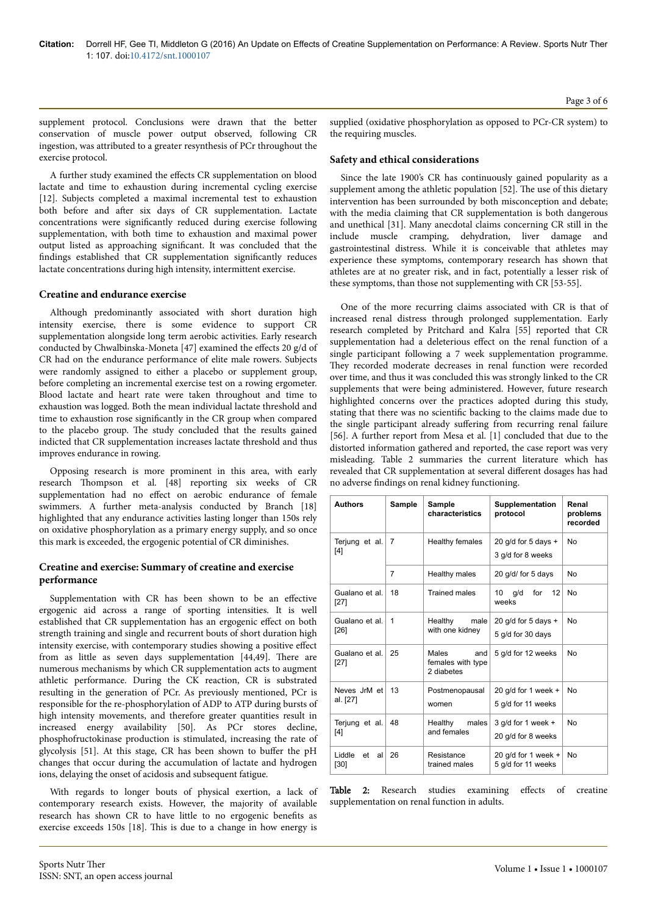supplement protocol. Conclusions were drawn that the better conservation of muscle power output observed, following CR ingestion, was attributed to a greater resynthesis of PCr throughout the exercise protocol.

A further study examined the effects CR supplementation on blood lactate and time to exhaustion during incremental cycling exercise [12]. Subjects completed a maximal incremental test to exhaustion both before and after six days of CR supplementation. Lactate concentrations were significantly reduced during exercise following supplementation, with both time to exhaustion and maximal power output listed as approaching significant. It was concluded that the findings established that CR supplementation significantly reduces lactate concentrations during high intensity, intermittent exercise.

## **Creatine and endurance exercise**

Although predominantly associated with short duration high intensity exercise, there is some evidence to support CR supplementation alongside long term aerobic activities. Early research conducted by Chwalbinska-Moneta [47] examined the effects 20 g/d of CR had on the endurance performance of elite male rowers. Subjects were randomly assigned to either a placebo or supplement group, before completing an incremental exercise test on a rowing ergometer. Blood lactate and heart rate were taken throughout and time to exhaustion was logged. Both the mean individual lactate threshold and time to exhaustion rose significantly in the CR group when compared to the placebo group. Нe study concluded that the results gained indicted that CR supplementation increases lactate threshold and thus improves endurance in rowing.

Opposing research is more prominent in this area, with early research Нompson et al. [48] reporting six weeks of CR supplementation had no effect on aerobic endurance of female swimmers. A further meta-analysis conducted by Branch [18] highlighted that any endurance activities lasting longer than 150s rely on oxidative phosphorylation as a primary energy supply, and so once this mark is exceeded, the ergogenic potential of CR diminishes.

## **Creatine and exercise: Summary of creatine and exercise performance**

Supplementation with CR has been shown to be an effective ergogenic aid across a range of sporting intensities. It is well established that CR supplementation has an ergogenic effect on both strength training and single and recurrent bouts of short duration high intensity exercise, with contemporary studies showing a positive effect from as little as seven days supplementation [44,49]. There are numerous mechanisms by which CR supplementation acts to augment athletic performance. During the CK reaction, CR is substrated resulting in the generation of PCr. As previously mentioned, PCr is responsible for the re-phosphorylation of ADP to ATP during bursts of high intensity movements, and therefore greater quantities result in increased energy availability [50]. As PCr stores decline, phosphofructokinase production is stimulated, increasing the rate of glycolysis [51]. At this stage, CR has been shown to buffer the pH changes that occur during the accumulation of lactate and hydrogen ions, delaying the onset of acidosis and subsequent fatigue.

With regards to longer bouts of physical exertion, a lack of contemporary research exists. However, the majority of available research has shown CR to have little to no ergogenic benefits as exercise exceeds 150s [18]. Нis is due to a change in how energy is

supplied (oxidative phosphorylation as opposed to PCr-CR system) to the requiring muscles.

#### **Safety and ethical considerations**

Since the late 1900's CR has continuously gained popularity as a supplement among the athletic population [52]. The use of this dietary intervention has been surrounded by both misconception and debate; with the media claiming that CR supplementation is both dangerous and unethical [31]. Many anecdotal claims concerning CR still in the include muscle cramping, dehydration, liver damage and gastrointestinal distress. While it is conceivable that athletes may experience these symptoms, contemporary research has shown that athletes are at no greater risk, and in fact, potentially a lesser risk of these symptoms, than those not supplementing with CR [53-55].

One of the more recurring claims associated with CR is that of increased renal distress through prolonged supplementation. Early research completed by Pritchard and Kalra [55] reported that CR supplementation had a deleterious effect on the renal function of a single participant following a 7 week supplementation programme. They recorded moderate decreases in renal function were recorded over time, and thus it was concluded this was strongly linked to the CR supplements that were being administered. However, future research highlighted concerns over the practices adopted during this study, stating that there was no scientific backing to the claims made due to the single participant already suffering from recurring renal failure [56]. A further report from Mesa et al. [1] concluded that due to the distorted information gathered and reported, the case report was very misleading. Table 2 summaries the current literature which has revealed that CR supplementation at several different dosages has had no adverse findings on renal kidney functioning.

| <b>Authors</b>               | Sample         | <b>Sample</b><br>characteristics                | <b>Supplementation</b><br>protocol           | Renal<br>problems<br>recorded |
|------------------------------|----------------|-------------------------------------------------|----------------------------------------------|-------------------------------|
| Terjung et al.<br>[4]        | $\overline{7}$ | Healthy females                                 | 20 g/d for 5 days +<br>3 g/d for 8 weeks     | No                            |
|                              | $\overline{7}$ | Healthy males                                   | 20 g/d/ for 5 days                           | No                            |
| Gualano et al.<br>[27]       | 18             | <b>Trained males</b>                            | 12<br>10<br>for<br>q/d<br>weeks              | No                            |
| Gualano et al.<br>$[26]$     | 1              | Healthy<br>male<br>with one kidney              | 20 g/d for 5 days $+$<br>5 g/d for 30 days   | No                            |
| Gualano et al.<br>[27]       | 25             | Males<br>and<br>females with type<br>2 diabetes | 5 g/d for 12 weeks                           | No                            |
| Neves JrM et<br>al. [27]     | 13             | Postmenopausal<br>women                         | 20 g/d for 1 week $+$<br>5 g/d for 11 weeks  | No                            |
| Terjung et al.<br>[4]        | 48             | Healthy<br>males<br>and females                 | 3 $q/d$ for 1 week $+$<br>20 g/d for 8 weeks | <b>No</b>                     |
| Liddle<br>et<br>al<br>$[30]$ | 26             | Resistance<br>trained males                     | 20 g/d for 1 week $+$<br>5 g/d for 11 weeks  | No                            |

Table 2: Research studies examining effects of creatine supplementation on renal function in adults.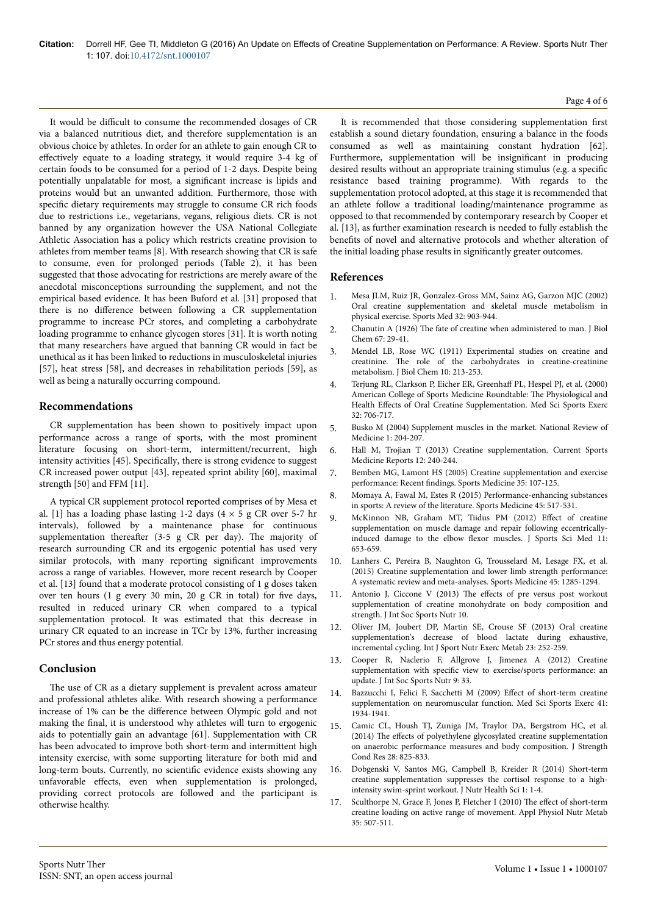It would be difficult to consume the recommended dosages of CR via a balanced nutritious diet, and therefore supplementation is an obvious choice by athletes. In order for an athlete to gain enough CR to effectively equate to a loading strategy, it would require 3-4 kg of certain foods to be consumed for a period of 1-2 days. Despite being potentially unpalatable for most, a significant increase is lipids and proteins would but an unwanted addition. Furthermore, those with specific dietary requirements may struggle to consume CR rich foods due to restrictions i.e., vegetarians, vegans, religious diets. CR is not banned by any organization however the USA National Collegiate Athletic Association has a policy which restricts creatine provision to athletes from member teams [8]. With research showing that CR is safe to consume, even for prolonged periods (Table 2), it has been suggested that those advocating for restrictions are merely aware of the anecdotal misconceptions surrounding the supplement, and not the empirical based evidence. It has been Buford et al. [31] proposed that there is no difference between following a CR supplementation programme to increase PCr stores, and completing a carbohydrate loading programme to enhance glycogen stores [31]. It is worth noting that many researchers have argued that banning CR would in fact be unethical as it has been linked to reductions in musculoskeletal injuries [57], heat stress [58], and decreases in rehabilitation periods [59], as well as being a naturally occurring compound.

# **Recommendations**

CR supplementation has been shown to positively impact upon performance across a range of sports, with the most prominent literature focusing on short-term, intermittent/recurrent, high intensity activities [45]. Specifically, there is strong evidence to suggest CR increased power output [43], repeated sprint ability [60], maximal strength [50] and FFM [11].

A typical CR supplement protocol reported comprises of by Mesa et al. [1] has a loading phase lasting 1-2 days  $(4 \times 5 \text{ g CR over } 5\text{-}7 \text{ hr})$ intervals), followed by a maintenance phase for continuous supplementation thereafter (3-5 g CR per day). The majority of research surrounding CR and its ergogenic potential has used very similar protocols, with many reporting significant improvements across a range of variables. However, more recent research by Cooper et al. [13] found that a moderate protocol consisting of 1 g doses taken over ten hours (1 g every 30 min, 20 g CR in total) for five days, resulted in reduced urinary CR when compared to a typical supplementation protocol. It was estimated that this decrease in urinary CR equated to an increase in TCr by 13%, further increasing PCr stores and thus energy potential.

# **Conclusion**

The use of CR as a dietary supplement is prevalent across amateur and professional athletes alike. With research showing a performance increase of 1% can be the difference between Olympic gold and not making the final, it is understood why athletes will turn to ergogenic aids to potentially gain an advantage [61]. Supplementation with CR has been advocated to improve both short-term and intermittent high intensity exercise, with some supporting literature for both mid and long-term bouts. Currently, no scientific evidence exists showing any unfavorable effects, even when supplementation is prolonged, providing correct protocols are followed and the participant is otherwise healthy.

It is recommended that those considering supplementation first establish a sound dietary foundation, ensuring a balance in the foods consumed as well as maintaining constant hydration [62]. Furthermore, supplementation will be insignificant in producing desired results without an appropriate training stimulus (e.g. a specific resistance based training programme). With regards to the supplementation protocol adopted, at this stage it is recommended that an athlete follow a traditional loading/maintenance programme as opposed to that recommended by contemporary research by Cooper et al. [13], as further examination research is needed to fully establish the benefits of novel and alternative protocols and whether alteration of the initial loading phase results in significantly greater outcomes.

# **References**

- 1. [Mesa JLM, Ruiz JR, Gonzalez-Gross MM, Sainz AG, Garzon MJC \(2002\)](http://link.springer.com/article/10.2165%2F00007256-200232140-00003) [Oral creatine supplementation and skeletal muscle metabolism in](http://link.springer.com/article/10.2165%2F00007256-200232140-00003) [physical exercise. Sports Med 32: 903-944.](http://link.springer.com/article/10.2165%2F00007256-200232140-00003)
- 2. Chanutin A (1926) Нe [fate of creatine when administered to man. J Biol](http://www.jbc.org/content/67/1/29.citation) [Chem 67: 29-41.](http://www.jbc.org/content/67/1/29.citation)
- 3. [Mendel LB, Rose WC \(1911\) Experimental studies on creatine and](http://www.jbc.org/content/10/3/213.citation) creatinine. Нe [role of the carbohydrates in creatine-creatinine](http://www.jbc.org/content/10/3/213.citation) [metabolism. J Biol Chem 10: 213-253.](http://www.jbc.org/content/10/3/213.citation)
- 4. [Terjung RL, Clarkson P, Eicher ER,](http://www.ncbi.nlm.nih.gov/pubmed/10731017) Greenhaff PL, Hespel PJ, et al. (2000) [American College of Sports Medicine Roundtable:](http://www.ncbi.nlm.nih.gov/pubmed/10731017) Нe Physiological and Health Effects [of Oral Creatine Supplementation. Med Sci Sports Exerc](http://www.ncbi.nlm.nih.gov/pubmed/10731017) [32: 706-717.](http://www.ncbi.nlm.nih.gov/pubmed/10731017)
- 5. Busko M (2004) Supplement muscles in the market. National Review of Medicine 1: 204-207.
- 6. Hall M, Trojian T (2013) Creatine supplementation. Current Sports Medicine Reports 12: 240-244.
- 7. [Bemben MG, Lamont HS \(2005\) Creatine supplementation and exercise](http://link.springer.com/article/10.2165/00007256-200535020-00002) performance: Recent findings. [Sports Medicine 35: 107-125.](http://link.springer.com/article/10.2165/00007256-200535020-00002)
- 8. [Momaya A, Fawal M, Estes R \(2015\) Performance-enhancing substances](http://link.springer.com/article/10.1007/s40279-015-0308-9) [in sports: A review of the literature. Sports Medicine 45: 517-531.](http://link.springer.com/article/10.1007/s40279-015-0308-9)
- 9. [McKinnon NB, Graham MT, Tiidus PM \(2012\)](http://www.ncbi.nlm.nih.gov/pmc/articles/PMC3763311/) Effect of creatine [supplementation on muscle damage and repair following eccentrically](http://www.ncbi.nlm.nih.gov/pmc/articles/PMC3763311/)induced damage to the elbow flexor [muscles. J Sports Sci Med 11:](http://www.ncbi.nlm.nih.gov/pmc/articles/PMC3763311/) [653-659.](http://www.ncbi.nlm.nih.gov/pmc/articles/PMC3763311/)
- 10. Lanhers C, Pereira B, Naughton G, Trousselard M, Lesage FX, et al. (2015) Creatine supplementation and lower limb strength performance: A systematic review and meta-analyses. Sports Medicine 45: 1285-1294.
- 11. Antonio J, Ciccone V (2013) The effects of pre versus post workout supplementation of creatine monohydrate on body composition and strength. J Int Soc Sports Nutr 10.
- 12. Oliver JM, Joubert DP, Martin SE, Crouse SF (2013) Oral creatine supplementation's decrease of blood lactate during exhaustive, incremental cycling. Int J Sport Nutr Exerc Metab 23: 252-259.
- 13. Cooper R, Naclerio F, Allgrove J, Jimenez A (2012) Creatine supplementation with specific view to exercise/sports performance: an update. J Int Soc Sports Nutr 9: 33.
- 14. Bazzucchi I, Felici F, Sacchetti M (2009) Effect of short-term creatine supplementation on neuromuscular function. Med Sci Sports Exerc 41: 1934-1941.
- 15. [Camic CL, Housh TJ, Zuniga JM, Traylor DA, Bergstrom HC, et al.](http://journals.lww.com/nsca-jscr/Abstract/2014/03000/The_Effects_of_Polyethylene_Glycosylated_Creatine.29.aspx) (2014) The effects [of polyethylene glycosylated creatine supplementation](http://journals.lww.com/nsca-jscr/Abstract/2014/03000/The_Effects_of_Polyethylene_Glycosylated_Creatine.29.aspx) [on anaerobic performance measures and body composition. J Strength](http://journals.lww.com/nsca-jscr/Abstract/2014/03000/The_Effects_of_Polyethylene_Glycosylated_Creatine.29.aspx) [Cond Res 28: 825-833.](http://journals.lww.com/nsca-jscr/Abstract/2014/03000/The_Effects_of_Polyethylene_Glycosylated_Creatine.29.aspx)
- 16. [Dobgenski V, Santos MG, Campbell B, Kreider R \(2014\) Short-term](http://www.annexpublishers.com/articles/JNH/volume-1-issue-2/Short-term-Creatine-Supplementation-Suppresses-the-Cortisol-Response-to-a-High-Intensity-Swim-Sprint-Workout.pdf) [creatine supplementation suppresses the cortisol response to a high](http://www.annexpublishers.com/articles/JNH/volume-1-issue-2/Short-term-Creatine-Supplementation-Suppresses-the-Cortisol-Response-to-a-High-Intensity-Swim-Sprint-Workout.pdf)[intensity swim-sprint workout. J Nutr Health Sci 1: 1-4.](http://www.annexpublishers.com/articles/JNH/volume-1-issue-2/Short-term-Creatine-Supplementation-Suppresses-the-Cortisol-Response-to-a-High-Intensity-Swim-Sprint-Workout.pdf)
- 17. [Sculthorpe N, Grace F, Jones P, Fletcher I \(2010\)](http://www.nrcresearchpress.com/doi/abs/10.1139/H10-036) The effect of short-term [creatine loading on active range of movement. Appl Physiol Nutr Metab](http://www.nrcresearchpress.com/doi/abs/10.1139/H10-036) [35: 507-511.](http://www.nrcresearchpress.com/doi/abs/10.1139/H10-036)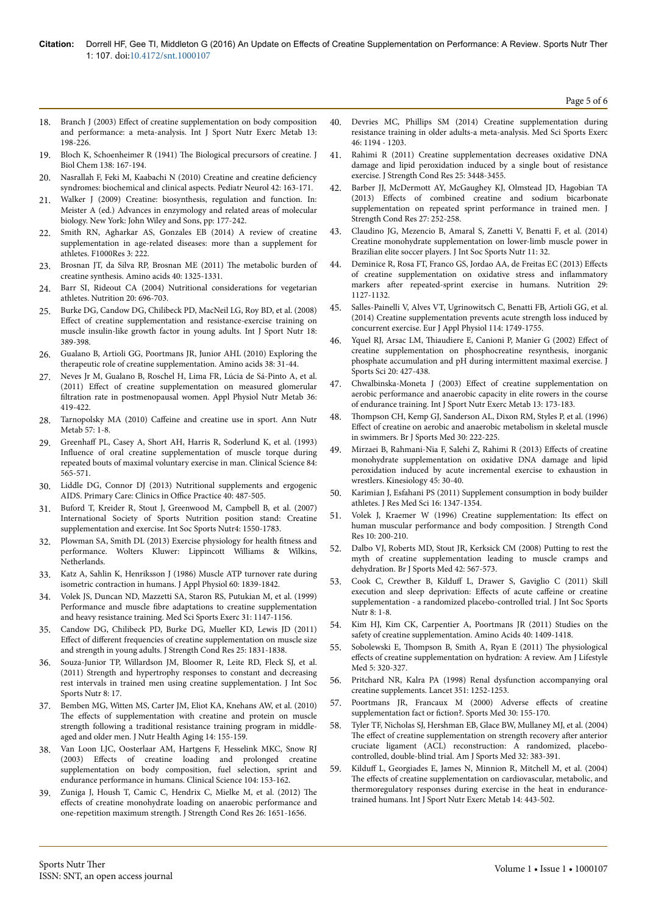- 18. Branch J (2003) Effect [of creatine supplementation on body composition](http://fitnessforlife.org/AcuCustom/Sitename/Documents/DocumentItem/1267.pdf) [and performance: a meta-analysis. Int J Sport Nutr Exerc Metab 13:](http://fitnessforlife.org/AcuCustom/Sitename/Documents/DocumentItem/1267.pdf) [198-226.](http://fitnessforlife.org/AcuCustom/Sitename/Documents/DocumentItem/1267.pdf)
- Bloch K, Schoenheimer R (1941) The [Biological precursors of creatine. J](http://www.jbc.org/content/138/1/167.citation) [Biol Chem 138: 167-194.](http://www.jbc.org/content/138/1/167.citation)
- 20. [Nasrallah F, Feki M, Kaabachi N \(2010\) Creatine and creatine](http://www.pedneur.com/article/S0887-8994(09)00388-9/abstract) deficiency [syndromes: biochemical and clinical aspects. Pediatr Neurol 42: 163-171.](http://www.pedneur.com/article/S0887-8994(09)00388-9/abstract)
- [Walker J \(2009\) Creatine: biosynthesis, regulation and function. In:](https://books.google.co.in/books?hl=en&lr=&id=9OO1H8IPdJsC&oi=fnd&pg=PA177&dq=Creatine:+Biosynthesis,+Regulation+and+Function.+In:+A.+Meister+(ed.)+Advances+in+Enzymology+and+Related+Areas+of+Molecular+Biology.+New+York:+John+Wiley+and+Sons,+177-242.&ots=YX6CsaOOiU&sig=ulrSKkML7-geBqpDeMSs0fH07bM) [Meister A \(ed.\) Advances in enzymology and related areas of molecular](https://books.google.co.in/books?hl=en&lr=&id=9OO1H8IPdJsC&oi=fnd&pg=PA177&dq=Creatine:+Biosynthesis,+Regulation+and+Function.+In:+A.+Meister+(ed.)+Advances+in+Enzymology+and+Related+Areas+of+Molecular+Biology.+New+York:+John+Wiley+and+Sons,+177-242.&ots=YX6CsaOOiU&sig=ulrSKkML7-geBqpDeMSs0fH07bM) [biology. New York: John Wiley and Sons, pp: 177-242.](https://books.google.co.in/books?hl=en&lr=&id=9OO1H8IPdJsC&oi=fnd&pg=PA177&dq=Creatine:+Biosynthesis,+Regulation+and+Function.+In:+A.+Meister+(ed.)+Advances+in+Enzymology+and+Related+Areas+of+Molecular+Biology.+New+York:+John+Wiley+and+Sons,+177-242.&ots=YX6CsaOOiU&sig=ulrSKkML7-geBqpDeMSs0fH07bM)
- 22. [Smith RN, Agharkar AS, Gonzales EB \(2014\) A review of creatine](http://www.ncbi.nlm.nih.gov/pmc/articles/PMC4304302/) [supplementation in age-related diseases: more than a supplement for](http://www.ncbi.nlm.nih.gov/pmc/articles/PMC4304302/) [athletes. F1000Res 3: 222.](http://www.ncbi.nlm.nih.gov/pmc/articles/PMC4304302/)
- 23. [Brosnan JT, da Silva RP, Brosnan ME \(2011\)](http://link.springer.com/article/10.1007/s00726-011-0853-y) Нe metabolic burden of [creatine synthesis. Amino acids 40: 1325-1331.](http://link.springer.com/article/10.1007/s00726-011-0853-y)
- 24. [Barr SI, Rideout CA \(2004\) Nutritional considerations for vegetarian](http://www.sciencedirect.com/science/article/pii/S0899900704001066) [athletes. Nutrition 20: 696-703.](http://www.sciencedirect.com/science/article/pii/S0899900704001066)
- 25. [Burke DG, Candow DG, Chilibeck PD, MacNeil LG, Roy BD, et al. \(2008\)](https://www.researchgate.net/profile/Brian_Roy/publication/23176124_Effect_of_creatine_supplementation_and_resistance-exercise_training_on_muscle_insulin-like_growth_factor_in_young_adults/links/00b7d52a357d600448000000.pdf) Effect [of creatine supplementation and resistance-exercise training on](https://www.researchgate.net/profile/Brian_Roy/publication/23176124_Effect_of_creatine_supplementation_and_resistance-exercise_training_on_muscle_insulin-like_growth_factor_in_young_adults/links/00b7d52a357d600448000000.pdf) [muscle insulin-like growth factor in young adults. Int J Sport Nutr 18:](https://www.researchgate.net/profile/Brian_Roy/publication/23176124_Effect_of_creatine_supplementation_and_resistance-exercise_training_on_muscle_insulin-like_growth_factor_in_young_adults/links/00b7d52a357d600448000000.pdf) [389-398.](https://www.researchgate.net/profile/Brian_Roy/publication/23176124_Effect_of_creatine_supplementation_and_resistance-exercise_training_on_muscle_insulin-like_growth_factor_in_young_adults/links/00b7d52a357d600448000000.pdf)
- 26. [Gualano B, Artioli GG, Poortmans JR, Junior AHL \(2010\) Exploring the](http://link.springer.com/article/10.1007/s00726-009-0263-6) [therapeutic role of creatine supplementation. Amino acids 38: 31-44.](http://link.springer.com/article/10.1007/s00726-009-0263-6)
- 27. [Neves Jr M, Gualano B, Roschel H, Lima FR, Lúcia de Sá-Pinto A, et al.](http://www.nrcresearchpress.com/doi/abs/10.1139/h11-014) (2011) Effect [of creatine supplementation on measured glomerular](http://www.nrcresearchpress.com/doi/abs/10.1139/h11-014) filtration [rate in postmenopausal women. Appl Physiol Nutr Metab 36:](http://www.nrcresearchpress.com/doi/abs/10.1139/h11-014) [419-422.](http://www.nrcresearchpress.com/doi/abs/10.1139/h11-014)
- 28. Tarnopolsky MA (2010) Caffeine [and creatine use in sport. Ann Nutr](http://www.karger.com/Article/Abstract/322696) [Metab 57: 1-8.](http://www.karger.com/Article/Abstract/322696)
- 29. Greenhaff [PL, Casey A, Short AH, Harris R, Soderlund K, et al. \(1993\)](http://www.clinsci.org/content/84/5/565.abstract) Influence [of oral creatine supplementation of muscle torque during](http://www.clinsci.org/content/84/5/565.abstract) [repeated bouts of maximal voluntary exercise in man. Clinical Science 84:](http://www.clinsci.org/content/84/5/565.abstract) [565-571.](http://www.clinsci.org/content/84/5/565.abstract)
- 30. [Liddle DG, Connor DJ \(2013\) Nutritional supplements and ergogenic](http://www.sciencedirect.com/science/article/pii/S0095454313000249) [AIDS. Primary Care: Clinics in](http://www.sciencedirect.com/science/article/pii/S0095454313000249) Office Practice 40: 487-505.
- 31. Buford T, Kreider R, Stout J, Greenwood M, Campbell B, et al. (2007) International Society of Sports Nutrition position stand: Creatine supplementation and exercise. Int Soc Sports Nutr4: 1550-1783.
- 32. [Plowman SA, Smith DL \(2013\) Exercise physiology for health](http://www.lww.com/Product/9781451176117) fitness and [performance. Wolters Kluwer: Lippincott Williams & Wilkins,](http://www.lww.com/Product/9781451176117) [Netherlands.](http://www.lww.com/Product/9781451176117)
- 33. [Katz A, Sahlin K, Henriksson J \(1986\) Muscle ATP turnover rate during](http://jap.physiology.org/content/60/6/1839.full-text.pdf+html) [isometric contraction in humans. J Appl Physiol 60: 1839-1842.](http://jap.physiology.org/content/60/6/1839.full-text.pdf+html)
- 34. [Volek JS, Duncan ND, Mazzetti SA, Staron RS, Putukian M, et al. \(1999\)](http://www.udel.edu/PT/PT%20Clinical%20Services/journalclub/sojc/99_00/feb00/volek.pdf) Performance and muscle fibre [adaptations to creatine supplementation](http://www.udel.edu/PT/PT%20Clinical%20Services/journalclub/sojc/99_00/feb00/volek.pdf) [and heavy resistance training. Med Sci Sports Exerc 31: 1147-1156.](http://www.udel.edu/PT/PT%20Clinical%20Services/journalclub/sojc/99_00/feb00/volek.pdf)
- 35. [Candow DG, Chilibeck PD, Burke DG, Mueller KD, Lewis JD \(2011\)](http://journals.lww.com/nsca-jscr/Abstract/2011/07000/Effect_of_Different_Frequencies_of_Creatine.8.aspx) Effect of different [frequencies of creatine supplementation on muscle size](http://journals.lww.com/nsca-jscr/Abstract/2011/07000/Effect_of_Different_Frequencies_of_Creatine.8.aspx) [and strength in young adults. J Strength Cond Res 25: 1831-1838.](http://journals.lww.com/nsca-jscr/Abstract/2011/07000/Effect_of_Different_Frequencies_of_Creatine.8.aspx)
- 36. [Souza-Junior TP, Willardson JM, Bloomer R, Leite RD, Fleck SJ, et al.](http://www.ncbi.nlm.nih.gov/pubmed/22032491) [\(2011\) Strength and hypertrophy responses to constant and decreasing](http://www.ncbi.nlm.nih.gov/pubmed/22032491) [rest intervals in trained men using creatine supplementation. J Int Soc](http://www.ncbi.nlm.nih.gov/pubmed/22032491) [Sports Nutr 8: 17.](http://www.ncbi.nlm.nih.gov/pubmed/22032491)
- 37. [Bemben MG, Witten MS, Carter JM, Eliot KA, Knehans AW, et al. \(2010\)](http://link.springer.com/article/10.1007/s12603-009-0124-8) The effects [of supplementation with creatine and protein on muscle](http://link.springer.com/article/10.1007/s12603-009-0124-8) [strength following a traditional resistance training program in middle](http://link.springer.com/article/10.1007/s12603-009-0124-8)[aged and older men. J Nutr Health Aging 14: 155-159.](http://link.springer.com/article/10.1007/s12603-009-0124-8)
- [Van Loon LJC, Oosterlaar AM, Hartgens F, Hesselink MKC, Snow RJ](http://www.clinsci.org/content/ppclinsci/104/2/153.full.pdf) (2003) Effects [of creatine loading and prolonged creatine](http://www.clinsci.org/content/ppclinsci/104/2/153.full.pdf) [supplementation on body composition, fuel selection, sprint and](http://www.clinsci.org/content/ppclinsci/104/2/153.full.pdf) [endurance performance in humans. Clinical Science 104: 153-162.](http://www.clinsci.org/content/ppclinsci/104/2/153.full.pdf)
- 39. [Zuniga J, Housh T, Camic C, Hendrix C, Mielke M, et al. \(2012\)](http://journals.lww.com/nsca-jscr/Abstract/2012/06000/The_Effects_of_Creatine_Monohydrate_Loading_on.27.aspx) Нe effects [of creatine monohydrate loading on anaerobic performance and](http://journals.lww.com/nsca-jscr/Abstract/2012/06000/The_Effects_of_Creatine_Monohydrate_Loading_on.27.aspx) [one-repetition maximum strength. J Strength Cond Res 26: 1651-1656.](http://journals.lww.com/nsca-jscr/Abstract/2012/06000/The_Effects_of_Creatine_Monohydrate_Loading_on.27.aspx)
- 40. Devries MC, Phillips SM (2014) Creatine supplementation during resistance training in older adults-a meta-analysis. Med Sci Sports Exerc 46: 1194 - 1203.
- [Rahimi R \(2011\) Creatine supplementation decreases oxidative DNA](http://journals.lww.com/nsca-jscr/Abstract/2011/12000/Creatine_Supplementation_Decreases_Oxidative_DNA.29.aspx) [damage and lipid peroxidation induced by a single bout of resistance](http://journals.lww.com/nsca-jscr/Abstract/2011/12000/Creatine_Supplementation_Decreases_Oxidative_DNA.29.aspx) [exercise. J Strength Cond Res 25: 3448-3455.](http://journals.lww.com/nsca-jscr/Abstract/2011/12000/Creatine_Supplementation_Decreases_Oxidative_DNA.29.aspx)
- 42. [Barber JJ, McDermott AY, McGaughey KJ, Olmstead JD, Hagobian TA](http://journals.lww.com/nsca-jscr/Abstract/2013/01000/Effects_of_Combined_Creatine_and_Sodium.35.aspx) (2013) Effects [of combined creatine and sodium bicarbonate](http://journals.lww.com/nsca-jscr/Abstract/2013/01000/Effects_of_Combined_Creatine_and_Sodium.35.aspx) [supplementation on repeated sprint performance in trained men. J](http://journals.lww.com/nsca-jscr/Abstract/2013/01000/Effects_of_Combined_Creatine_and_Sodium.35.aspx) [Strength Cond Res 27: 252-258.](http://journals.lww.com/nsca-jscr/Abstract/2013/01000/Effects_of_Combined_Creatine_and_Sodium.35.aspx)
- 43. [Claudino JG, Mezencio B, Amaral S, Zanetti V, Benatti F, et al. \(2014\)](http://jissn.biomedcentral.com/articles/10.1186/1550-2783-11-32) [Creatine monohydrate supplementation on lower-limb muscle power in](http://jissn.biomedcentral.com/articles/10.1186/1550-2783-11-32) [Brazilian elite soccer players. J Int Soc Sports Nutr 11: 32.](http://jissn.biomedcentral.com/articles/10.1186/1550-2783-11-32)
- 44. [Deminice R, Rosa FT, Franco GS, Jordao AA, de Freitas EC \(2013\)](http://www.sciencedirect.com/science/article/pii/S089990071300138X) Effects [of creatine supplementation on oxidative stress and](http://www.sciencedirect.com/science/article/pii/S089990071300138X) inflammatory markers after [repeated-sprint exercise in humans. Nutrition 29:](http://www.sciencedirect.com/science/article/pii/S089990071300138X) [1127-1132.](http://www.sciencedirect.com/science/article/pii/S089990071300138X)
- 45. [Salles-Painelli V, Alves VT, Ugrinowitsch C, Benatti FB, Artioli GG, et al.](http://link.springer.com/article/10.1007/s00421-014-2903-0) [\(2014\) Creatine supplementation prevents acute strength loss induced by](http://link.springer.com/article/10.1007/s00421-014-2903-0) [concurrent exercise. Eur J Appl Physiol 114: 1749-1755.](http://link.springer.com/article/10.1007/s00421-014-2903-0)
- 46. Yquel RJ, Arsac LM, Thiaudiere [E, Canioni P, Manier G \(2002\)](http://www.tandfonline.com/doi/abs/10.1080/026404102317366681) Effect of [creatine supplementation on phosphocreatine resynthesis, inorganic](http://www.tandfonline.com/doi/abs/10.1080/026404102317366681) [phosphate accumulation and pH during intermittent maximal exercise. J](http://www.tandfonline.com/doi/abs/10.1080/026404102317366681) [Sports Sci 20: 427-438.](http://www.tandfonline.com/doi/abs/10.1080/026404102317366681)
- 47. Chwalbinska-Moneta J (2003) Effect of creatine supplementation on aerobic performance and anaerobic capacity in elite rowers in the course of endurance training. Int J Sport Nutr Exerc Metab 13: 173-183.
- 48. Нompson [CH, Kemp GJ, Sanderson AL, Dixon RM, Styles P, et al. \(1996\)](http://bjsm.bmj.com/content/30/3/222.short) Effect [of creatine on aerobic and anaerobic metabolism in skeletal muscle](http://bjsm.bmj.com/content/30/3/222.short) [in swimmers. Br J Sports Med 30: 222-225.](http://bjsm.bmj.com/content/30/3/222.short)
- 49. [Mirzaei B, Rahmani-Nia F, Salehi Z, Rahimi R \(2013\)](https://www.researchgate.net/profile/Rahimi_Rahman/publication/246915774_EFFECTS_OF_CREATINE_MONOHYDRATE_SUPPLEMENTATION_ON_OXIDATIVE_DNA_DAMAGE_AND_LIPID_PEROXIDATION_INDUCED_BY_ACUTE_INCREMENTAL_EXERCISE_TO_EXHAUSTION_IN_WRESTLERS/links/0deec51dae8f90f4e0000000.pdf) Effects of creatine [monohydrate supplementation on oxidative DNA damage and lipid](https://www.researchgate.net/profile/Rahimi_Rahman/publication/246915774_EFFECTS_OF_CREATINE_MONOHYDRATE_SUPPLEMENTATION_ON_OXIDATIVE_DNA_DAMAGE_AND_LIPID_PEROXIDATION_INDUCED_BY_ACUTE_INCREMENTAL_EXERCISE_TO_EXHAUSTION_IN_WRESTLERS/links/0deec51dae8f90f4e0000000.pdf) [peroxidation induced by acute incremental exercise to exhaustion in](https://www.researchgate.net/profile/Rahimi_Rahman/publication/246915774_EFFECTS_OF_CREATINE_MONOHYDRATE_SUPPLEMENTATION_ON_OXIDATIVE_DNA_DAMAGE_AND_LIPID_PEROXIDATION_INDUCED_BY_ACUTE_INCREMENTAL_EXERCISE_TO_EXHAUSTION_IN_WRESTLERS/links/0deec51dae8f90f4e0000000.pdf) [wrestlers. Kinesiology 45: 30-40.](https://www.researchgate.net/profile/Rahimi_Rahman/publication/246915774_EFFECTS_OF_CREATINE_MONOHYDRATE_SUPPLEMENTATION_ON_OXIDATIVE_DNA_DAMAGE_AND_LIPID_PEROXIDATION_INDUCED_BY_ACUTE_INCREMENTAL_EXERCISE_TO_EXHAUSTION_IN_WRESTLERS/links/0deec51dae8f90f4e0000000.pdf)
- 50. [Karimian J, Esfahani PS \(2011\) Supplement consumption in body builder](http://jrms.mui.ac.ir/files/journals/1/articles/6849/public/6849-31032-3-PB.pdf) [athletes. J Res Med Sci 16: 1347-1354.](http://jrms.mui.ac.ir/files/journals/1/articles/6849/public/6849-31032-3-PB.pdf)
- 51. Volek J, Kraemer W (1996) Creatine supplementation: Its effect on human muscular performance and body composition. J Strength Cond Res 10: 200-210.
- 52. [Dalbo VJ, Roberts MD, Stout JR, Kerksick CM \(2008\) Putting to rest the](http://bjsm.bmj.com/content/42/7/567) [myth of creatine supplementation leading to muscle cramps and](http://bjsm.bmj.com/content/42/7/567) [dehydration. Br J Sports Med 42: 567-573.](http://bjsm.bmj.com/content/42/7/567)
- 53. Cook C, Crewther B, Kilduff L, Drawer S, Gaviglio C (2011) Skill execution and sleep deprivation: Effects of acute caffeine or creatine supplementation - a randomized placebo-controlled trial. J Int Soc Sports Nutr 8: 1-8.
- 54. [Kim HJ, Kim CK, Carpentier A, Poortmans JR \(2011\) Studies on the](http://www.ncbi.nlm.nih.gov/pubmed/21399917) [safety of creatine supplementation. Amino Acids 40: 1409-1418.](http://www.ncbi.nlm.nih.gov/pubmed/21399917)
- 55. Sobolewski E, Нompson B, Smith A, Ryan E (2011) Нe physiological effects of creatine supplementation on hydration: A review. Am J Lifestyle Med 5: 320-327.
- 56. [Pritchard NR, Kalra PA \(1998\) Renal dysfunction accompanying oral](http://www.ncbi.nlm.nih.gov/pubmed/9643752) [creatine supplements. Lancet 351: 1252-1253.](http://www.ncbi.nlm.nih.gov/pubmed/9643752)
- 57. [Poortmans JR, Francaux M \(2000\) Adverse](http://www.ncbi.nlm.nih.gov/pubmed/10999421) effects of creatine supplementation fact or fiction?. [Sports Med 30: 155-170.](http://www.ncbi.nlm.nih.gov/pubmed/10999421)
- 58. [Tyler TF, Nicholas SJ, Hershman EB, Glace BW, Mullaney MJ, et al. \(2004\)](https://www.researchgate.net/publication/8686681_The_effect_of_creatine_supplementation_on_strength_recovery_after_anterior_cruciate_ligament_ACL_reconstruction_a_randomized_placebo-controlled_double-blind_trial) The effect [of creatine supplementation on strength recovery](https://www.researchgate.net/publication/8686681_The_effect_of_creatine_supplementation_on_strength_recovery_after_anterior_cruciate_ligament_ACL_reconstruction_a_randomized_placebo-controlled_double-blind_trial) after anterior [cruciate ligament \(ACL\) reconstruction: A randomized, placebo](https://www.researchgate.net/publication/8686681_The_effect_of_creatine_supplementation_on_strength_recovery_after_anterior_cruciate_ligament_ACL_reconstruction_a_randomized_placebo-controlled_double-blind_trial)[controlled, double-blind trial. Am J Sports Med 32: 383-391.](https://www.researchgate.net/publication/8686681_The_effect_of_creatine_supplementation_on_strength_recovery_after_anterior_cruciate_ligament_ACL_reconstruction_a_randomized_placebo-controlled_double-blind_trial)
- 59. Kilduff [L, Georgiades E, James N, Minnion R, Mitchell M, et al. \(2004\)](http://www.ncbi.nlm.nih.gov/pubmed/15467102) The effects [of creatine supplementation on cardiovascular, metabolic, and](http://www.ncbi.nlm.nih.gov/pubmed/15467102) [thermoregulatory responses during exercise in the heat in endurance](http://www.ncbi.nlm.nih.gov/pubmed/15467102)[trained humans. Int J Sport Nutr Exerc Metab 14: 443-502.](http://www.ncbi.nlm.nih.gov/pubmed/15467102)

Page 5 of 6